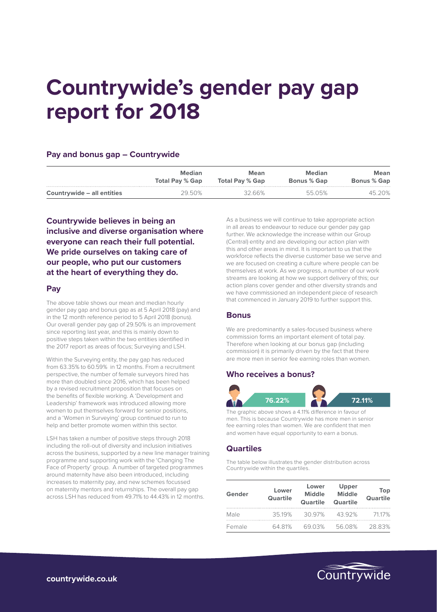# **Countrywide's gender pay gap report for 2018**

#### **Pay and bonus gap – Countrywide**

|                            | <b>Median</b>          | Mean                   | <b>Median</b>      | <b>Mean</b>        |
|----------------------------|------------------------|------------------------|--------------------|--------------------|
|                            | <b>Total Pay % Gap</b> | <b>Total Pay % Gap</b> | <b>Bonus % Gap</b> | <b>Bonus % Gap</b> |
| Countrywide – all entities | 29.50%                 | 32.66%                 | 5505%              | 45.20%             |

**Countrywide believes in being an inclusive and diverse organisation where everyone can reach their full potential. We pride ourselves on taking care of our people, who put our customers at the heart of everything they do.**

#### **Pay**

The above table shows our mean and median hourly gender pay gap and bonus gap as at 5 April 2018 (pay) and in the 12 month reference period to 5 April 2018 (bonus). Our overall gender pay gap of 29.50% is an improvement since reporting last year, and this is mainly down to positive steps taken within the two entities identified in the 2017 report as areas of focus; Surveying and LSH.

Within the Surveying entity, the pay gap has reduced from 63.35% to 60.59% in 12 months. From a recruitment perspective, the number of female surveyors hired has more than doubled since 2016, which has been helped by a revised recruitment proposition that focuses on the benefits of flexible working. A 'Development and Leadership' framework was introduced allowing more women to put themselves forward for senior positions, and a 'Women in Surveying' group continued to run to help and better promote women within this sector.

LSH has taken a number of positive steps through 2018 including the roll-out of diversity and inclusion initiatives across the business, supported by a new line manager training programme and supporting work with the 'Changing The Face of Property' group. A number of targeted programmes around maternity have also been introduced, including increases to maternity pay, and new schemes focussed on maternity mentors and returnships. The overall pay gap across LSH has reduced from 49.71% to 44.43% in 12 months.

As a business we will continue to take appropriate action in all areas to endeavour to reduce our gender pay gap further. We acknowledge the increase within our Group (Central) entity and are developing our action plan with this and other areas in mind. It is important to us that the workforce reflects the diverse customer base we serve and we are focused on creating a culture where people can be themselves at work. As we progress, a number of our work streams are looking at how we support delivery of this; our action plans cover gender and other diversity strands and we have commissioned an independent piece of research that commenced in January 2019 to further support this.

#### **Bonus**

We are predominantly a sales-focused business where commission forms an important element of total pay. Therefore when looking at our bonus gap (including commission) it is primarily driven by the fact that there are more men in senior fee earning roles than women.

#### **Who receives a bonus?**



The graphic above shows a 4.11% difference in favour of men. This is because Countrywide has more men in senior fee earning roles than women. We are confident that men and women have equal opportunity to earn a bonus.

#### **Quartiles**

The table below illustrates the gender distribution across Countrywide within the quartiles.

| Gender | Lower<br><b>Quartile</b> | Lower<br><b>Middle</b><br>Quartile | Upper<br><b>Middle</b><br><b>Quartile</b> | Top<br><b>Quartile</b> |
|--------|--------------------------|------------------------------------|-------------------------------------------|------------------------|
| Male   | 3519%                    | 30.97%                             | 4392%                                     | 7117%                  |
| Female | 64 81%                   | 6903%                              | 5608%                                     | 2883%                  |